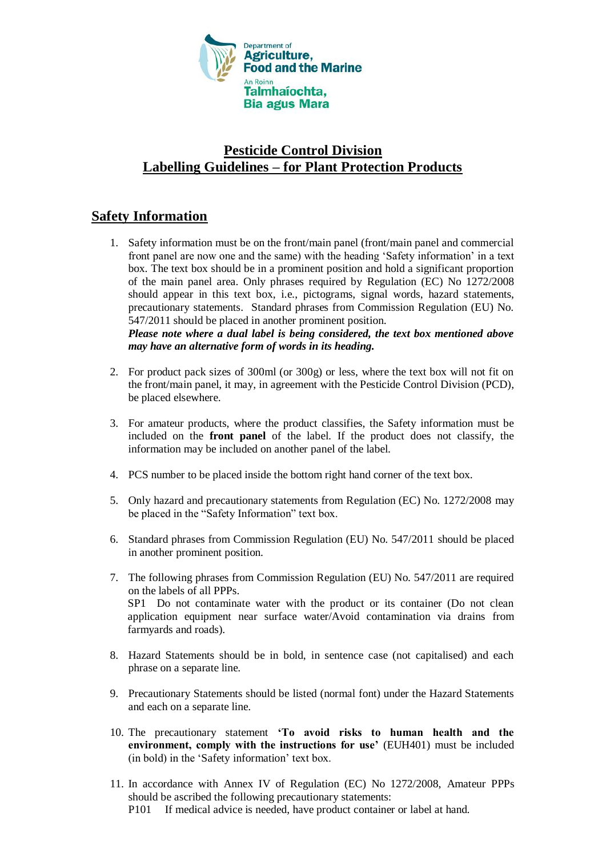

## **Pesticide Control Division Labelling Guidelines – for Plant Protection Products**

## **Safety Information**

1. Safety information must be on the front/main panel (front/main panel and commercial front panel are now one and the same) with the heading 'Safety information' in a text box. The text box should be in a prominent position and hold a significant proportion of the main panel area. Only phrases required by Regulation (EC) No 1272/2008 should appear in this text box, i.e., pictograms, signal words, hazard statements, precautionary statements. Standard phrases from Commission Regulation (EU) No. 547/2011 should be placed in another prominent position.

*Please note where a dual label is being considered, the text box mentioned above may have an alternative form of words in its heading.*

- 2. For product pack sizes of 300ml (or 300g) or less, where the text box will not fit on the front/main panel, it may, in agreement with the Pesticide Control Division (PCD), be placed elsewhere.
- 3. For amateur products, where the product classifies, the Safety information must be included on the **front panel** of the label. If the product does not classify, the information may be included on another panel of the label.
- 4. PCS number to be placed inside the bottom right hand corner of the text box.
- 5. Only hazard and precautionary statements from Regulation (EC) No. 1272/2008 may be placed in the "Safety Information" text box.
- 6. Standard phrases from Commission Regulation (EU) No. 547/2011 should be placed in another prominent position.
- 7. The following phrases from Commission Regulation (EU) No. 547/2011 are required on the labels of all PPPs. SP1 Do not contaminate water with the product or its container (Do not clean application equipment near surface water/Avoid contamination via drains from farmyards and roads).
- 8. Hazard Statements should be in bold, in sentence case (not capitalised) and each phrase on a separate line.
- 9. Precautionary Statements should be listed (normal font) under the Hazard Statements and each on a separate line.
- 10. The precautionary statement **'To avoid risks to human health and the environment, comply with the instructions for use'** (EUH401) must be included (in bold) in the 'Safety information' text box.
- 11. In accordance with Annex IV of Regulation (EC) No 1272/2008, Amateur PPPs should be ascribed the following precautionary statements:
	- P101 If medical advice is needed, have product container or label at hand.